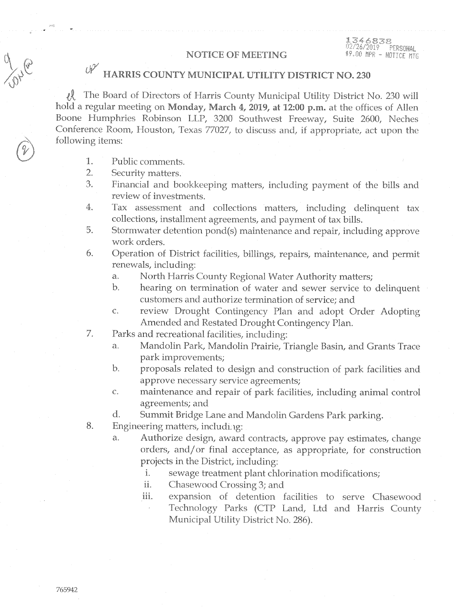1346838<br>02/26/2019 PERSONAL \$9.00 MPR - NOTICE MTG

## **NOTICE OF MEETING**

## $\mathcal{O} \mathcal{V}$ HARRIS COUNTY MUNICIPAL UTILITY DISTRICT NO. 230

术 The Board of Directors of Harris County Municipal Utility District No. 230 will hold a regular meeting on Monday, March 4, 2019, at 12:00 p.m. at the offices of Allen Boone Humphries Robinson LLP, 3200 Southwest Freeway, Suite 2600, Neches Conference Room, Houston, Texas 77027, to discuss and, if appropriate, act upon the following items:

- 1. Public comments.
- $\overline{2}$ . Security matters.
- 3. Financial and bookkeeping matters, including payment of the bills and review of investments.
- 4. Tax assessment and collections matters, including delinquent tax collections, installment agreements, and payment of tax bills.
- 5. Stormwater detention pond(s) maintenance and repair, including approve work orders.
- 6. Operation of District facilities, billings, repairs, maintenance, and permit renewals, including:
	- North Harris County Regional Water Authority matters; a.
	- $\mathbf{b}$ . hearing on termination of water and sewer service to delinquent customers and authorize termination of service; and
	- $\overline{C}$ . review Drought Contingency Plan and adopt Order Adopting Amended and Restated Drought Contingency Plan.
- 7. Parks and recreational facilities, including:
	- $\mathbf{a}$ . Mandolin Park, Mandolin Prairie, Triangle Basin, and Grants Trace park improvements;
	- $\mathbf{b}$ proposals related to design and construction of park facilities and approve necessary service agreements;
	- $C_{\star}$ maintenance and repair of park facilities, including animal control agreements; and
	- $\rm d.$ Summit Bridge Lane and Mandolin Gardens Park parking.
- 8. Engineering matters, including:
	- a. Authorize design, award contracts, approve pay estimates, change orders, and/or final acceptance, as appropriate, for construction projects in the District, including:
		- i. sewage treatment plant chlorination modifications;
		- ii. Chasewood Crossing 3; and
		- iii. expansion of detention facilities to serve Chasewood Technology Parks (CTP Land, Ltd and Harris County Municipal Utility District No. 286).